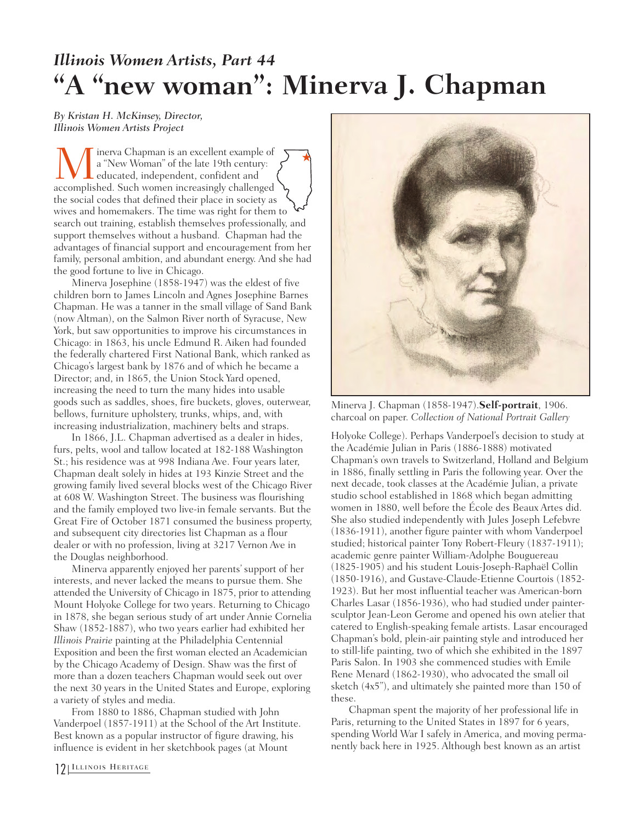## *Illinois Women Artists, Part 44*  **"A "new woman": Minerva J. Chapman**

## *By Kristan H. McKinsey, Director, Illinois Women Artists Project*

**M** inerva Chapman is an excellent example of a "New Woman" of the late 19th century:<br>educated, independent, confident and accomplished. Such women increasingly challenged a "New Woman" of the late 19th century: educated, independent, confident and the social codes that defined their place in society as wives and homemakers. The time was right for them to search out training, establish themselves professionally, and support themselves without a husband. Chapman had the advantages of financial support and encouragement from her family, personal ambition, and abundant energy. And she had the good fortune to live in Chicago.  $\bigstar$ 

Minerva Josephine (1858-1947) was the eldest of five children born to James Lincoln and Agnes Josephine Barnes Chapman. He was a tanner in the small village of Sand Bank (now Altman), on the Salmon River north of Syracuse, New York, but saw opportunities to improve his circumstances in Chicago: in 1863, his uncle Edmund R. Aiken had founded the federally chartered First National Bank, which ranked as Chicago's largest bank by 1876 and of which he became a Director; and, in 1865, the Union Stock Yard opened, increasing the need to turn the many hides into usable goods such as saddles, shoes, fire buckets, gloves, outerwear, bellows, furniture upholstery, trunks, whips, and, with increasing industrialization, machinery belts and straps.

In 1866, J.L. Chapman advertised as a dealer in hides, furs, pelts, wool and tallow located at 182-188 Washington St.; his residence was at 998 Indiana Ave. Four years later, Chapman dealt solely in hides at 193 Kinzie Street and the growing family lived several blocks west of the Chicago River at 608 W. Washington Street. The business was flourishing and the family employed two live-in female servants. But the Great Fire of October 1871 consumed the business property, and subsequent city directories list Chapman as a flour dealer or with no profession, living at 3217 Vernon Ave in the Douglas neighborhood.

Minerva apparently enjoyed her parents' support of her interests, and never lacked the means to pursue them. She attended the University of Chicago in 1875, prior to attending Mount Holyoke College for two years. Returning to Chicago in 1878, she began serious study of art under Annie Cornelia Shaw (1852-1887), who two years earlier had exhibited her *Illinois Prairie* painting at the Philadelphia Centennial Exposition and been the first woman elected an Academician by the Chicago Academy of Design. Shaw was the first of more than a dozen teachers Chapman would seek out over the next 30 years in the United States and Europe, exploring a variety of styles and media.

From 1880 to 1886, Chapman studied with John Vanderpoel (1857-1911) at the School of the Art Institute. Best known as a popular instructor of figure drawing, his influence is evident in her sketchbook pages (at Mount



Minerva J. Chapman (1858-1947).**Self-portrait**, 1906. charcoal on paper. *Collection of National Portrait Gallery*

Holyoke College). Perhaps Vanderpoel's decision to study at the Académie Julian in Paris (1886-1888) motivated Chapman's own travels to Switzerland, Holland and Belgium in 1886, finally settling in Paris the following year. Over the next decade, took classes at the Académie Julian, a private studio school established in 1868 which began admitting women in 1880, well before the École des Beaux Artes did. She also studied independently with Jules Joseph Lefebvre (1836-1911), another figure painter with whom Vanderpoel studied; historical painter Tony Robert-Fleury (1837-1911); academic genre painter William-Adolphe Bouguereau (1825-1905) and his student Louis-Joseph-Raphaël Collin (1850-1916), and Gustave-Claude-Etienne Courtois (1852- 1923). But her most influential teacher was American-born Charles Lasar (1856-1936), who had studied under paintersculptor Jean-Leon Gerome and opened his own atelier that catered to English-speaking female artists. Lasar encouraged Chapman's bold, plein-air painting style and introduced her to still-life painting, two of which she exhibited in the 1897 Paris Salon. In 1903 she commenced studies with Emile Rene Menard (1862-1930), who advocated the small oil sketch (4x5"), and ultimately she painted more than 150 of these.

Chapman spent the majority of her professional life in Paris, returning to the United States in 1897 for 6 years, spending World War I safely in America, and moving permanently back here in 1925. Although best known as an artist